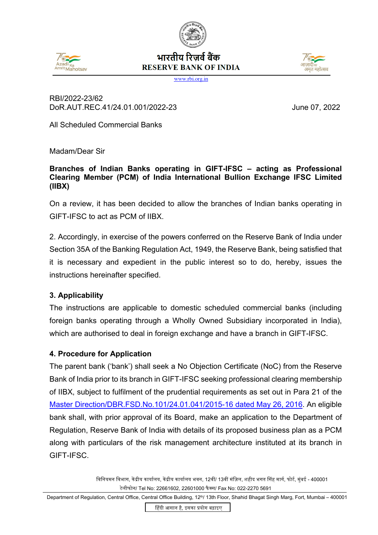



# भारतीय रिजर्व बैंक **RESERVE BANK OF INDIA**



www.rbi.org.in

## RBI/2022-23/62 DoR.AUT.REC.41/24.01.001/2022-23 June 07, 2022

All Scheduled Commercial Banks

Madam/Dear Sir

### **Branches of Indian Banks operating in GIFT-IFSC – acting as Professional Clearing Member (PCM) of India International Bullion Exchange IFSC Limited (IIBX)**

On a review, it has been decided to allow the branches of Indian banks operating in GIFT-IFSC to act as PCM of IIBX.

2. Accordingly, in exercise of the powers conferred on the Reserve Bank of India under Section 35A of the Banking Regulation Act, 1949, the Reserve Bank, being satisfied that it is necessary and expedient in the public interest so to do, hereby, issues the instructions hereinafter specified.

## **3. Applicability**

The instructions are applicable to domestic scheduled commercial banks (including foreign banks operating through a Wholly Owned Subsidiary incorporated in India), which are authorised to deal in foreign exchange and have a branch in GIFT-IFSC.

## **4. Procedure for Application**

The parent bank ('bank') shall seek a No Objection Certificate (NoC) from the Reserve Bank of India prior to its branch in GIFT-IFSC seeking professional clearing membership of IIBX, subject to fulfilment of the prudential requirements as set out in Para 21 of the [Master Direction/DBR.FSD.No.101/24.01.041/2015-16 dated May 26, 2016.](https://www.rbi.org.in/Scripts/BS_ViewMasDirections.aspx?id=10425) An eligible bank shall, with prior approval of its Board, make an application to the Department of Regulation, Reserve Bank of India with details of its proposed business plan as a PCM along with particulars of the risk management architecture instituted at its branch in GIFT-IFSC.

> विनियमन विभाग, केंद्रीय कार्यालय, केंद्रीय कार्यालय भवन, 12वीं/ 13वीं मंज़िल, शहीद भगत सिंह मार्ग, फोर्ट, मुंबई - 400001 टेलीफोन/ Tel No: 22661602, 22601000 फैक्स/ Fax No: 022-2270 5691

Department of Regulation, Central Office, Central Office Building, 12<sup>th</sup>/ 13th Floor, Shahid Bhagat Singh Marg, Fort, Mumbai - 400001

�हंदी आसान है, इसका �योग बढ़ाइए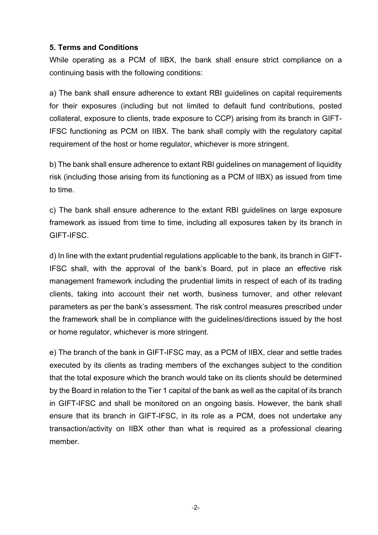### **5. Terms and Conditions**

While operating as a PCM of IIBX, the bank shall ensure strict compliance on a continuing basis with the following conditions:

a) The bank shall ensure adherence to extant RBI guidelines on capital requirements for their exposures (including but not limited to default fund contributions, posted collateral, exposure to clients, trade exposure to CCP) arising from its branch in GIFT-IFSC functioning as PCM on IIBX. The bank shall comply with the regulatory capital requirement of the host or home regulator, whichever is more stringent.

b) The bank shall ensure adherence to extant RBI guidelines on management of liquidity risk (including those arising from its functioning as a PCM of IIBX) as issued from time to time.

c) The bank shall ensure adherence to the extant RBI guidelines on large exposure framework as issued from time to time, including all exposures taken by its branch in GIFT-IFSC.

d) In line with the extant prudential regulations applicable to the bank, its branch in GIFT-IFSC shall, with the approval of the bank's Board, put in place an effective risk management framework including the prudential limits in respect of each of its trading clients, taking into account their net worth, business turnover, and other relevant parameters as per the bank's assessment. The risk control measures prescribed under the framework shall be in compliance with the guidelines/directions issued by the host or home regulator, whichever is more stringent.

e) The branch of the bank in GIFT-IFSC may, as a PCM of IIBX, clear and settle trades executed by its clients as trading members of the exchanges subject to the condition that the total exposure which the branch would take on its clients should be determined by the Board in relation to the Tier 1 capital of the bank as well as the capital of its branch in GIFT-IFSC and shall be monitored on an ongoing basis. However, the bank shall ensure that its branch in GIFT-IFSC, in its role as a PCM, does not undertake any transaction/activity on IIBX other than what is required as a professional clearing member.